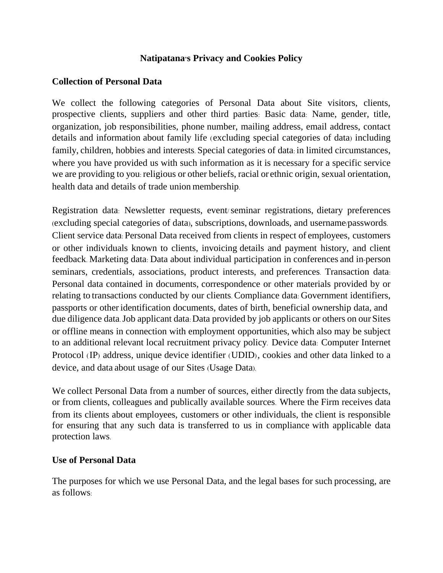## **Natipatana's Privacy and Cookies Policy**

## **Collection of Personal Data**

We collect the following categories of Personal Data about Site visitors, clients, prospective clients, suppliers and other third parties: Basic data: Name, gender, title, organization, job responsibilities, phone number, mailing address, email address, contact details and information about family life (excluding special categories of data) including family, children, hobbies and interests. Special categories of data: in limited circumstances, where you have provided us with such information as it is necessary for a specific service we are providing to you: religious or other beliefs, racial or ethnic origin, sexual orientation, health data and details of trade union membership.

Registration data: Newsletter requests, event/seminar registrations, dietary preferences (excluding special categories of data), subscriptions, downloads, and username/passwords. Client service data: Personal Data received from clients in respect of employees, customers or other individuals known to clients, invoicing details and payment history, and client feedback. Marketing data: Data about individual participation in conferences and in-person seminars, credentials, associations, product interests, and preferences. Transaction data: Personal data contained in documents, correspondence or other materials provided by or relating to transactions conducted by our clients. Compliance data: Government identifiers, passports or other identification documents, dates of birth, beneficial ownership data, and due diligence data.Job applicant data: Data provided by job applicants or others on our Sites or offline means in connection with employment opportunities, which also may be subject to an additional relevant local recruitment privacy policy. Device data: Computer Internet Protocol (IP) address, unique device identifier (UDID), cookies and other data linked to a device, and data about usage of our Sites (Usage Data).

We collect Personal Data from a number of sources, either directly from the data subjects, or from clients, colleagues and publically available sources. Where the Firm receives data from its clients about employees, customers or other individuals, the client is responsible for ensuring that any such data is transferred to us in compliance with applicable data protection laws.

## **Use of Personal Data**

The purposes for which we use Personal Data, and the legal bases for such processing, are as follows: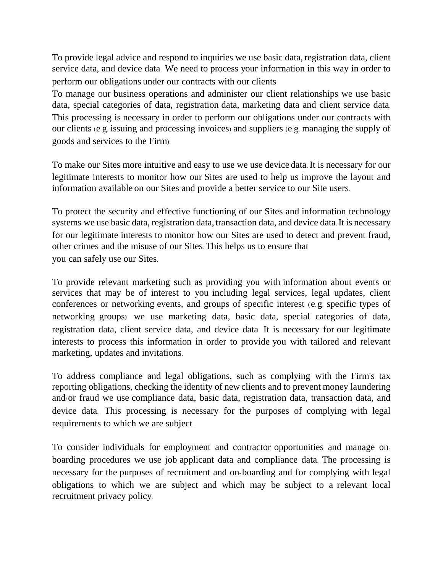To provide legal advice and respond to inquiries we use basic data, registration data, client service data, and device data. We need to process your information in this way in order to perform our obligations under our contracts with our clients.

To manage our business operations and administer our client relationships we use basic data, special categories of data, registration data, marketing data and client service data. This processing is necessary in order to perform our obligations under our contracts with our clients (e.g. issuing and processing invoices) and suppliers (e.g. managing the supply of goods and services to the Firm).

To make our Sites more intuitive and easy to use we use device data. It is necessary for our legitimate interests to monitor how our Sites are used to help us improve the layout and information available on our Sites and provide a better service to our Site users.

To protect the security and effective functioning of our Sites and information technology systems we use basic data, registration data, transaction data, and device data. It is necessary for our legitimate interests to monitor how our Sites are used to detect and prevent fraud, other crimes and the misuse of our Sites. This helps us to ensure that you can safely use our Sites.

To provide relevant marketing such as providing you with information about events or services that may be of interest to you including legal services, legal updates, client conferences or networking events, and groups of specific interest (e.g. specific types of networking groups) we use marketing data, basic data, special categories of data, registration data, client service data, and device data. It is necessary for our legitimate interests to process this information in order to provide you with tailored and relevant marketing, updates and invitations.

To address compliance and legal obligations, such as complying with the Firm's tax reporting obligations, checking the identity of new clients and to prevent money laundering and/or fraud we use compliance data, basic data, registration data, transaction data, and device data. This processing is necessary for the purposes of complying with legal requirements to which we are subject.

To consider individuals for employment and contractor opportunities and manage onboarding procedures we use job applicant data and compliance data. The processing is necessary for the purposes of recruitment and on-boarding and for complying with legal obligations to which we are subject and which may be subject to a relevant local recruitment privacy policy.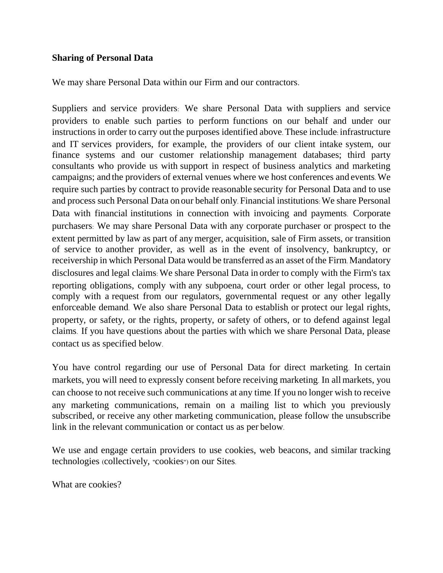## **Sharing of Personal Data**

We may share Personal Data within our Firm and our contractors.

Suppliers and service providers: We share Personal Data with suppliers and service providers to enable such parties to perform functions on our behalf and under our instructions in order to carry out the purposes identified above. These include: infrastructure and IT services providers, for example, the providers of our client intake system, our finance systems and our customer relationship management databases; third party consultants who provide us with support in respect of business analytics and marketing campaigns; and the providers of external venues where we host conferences and events. We require such parties by contract to provide reasonable security for Personal Data and to use and process such Personal Data on our behalf only. Financial institutions: We share Personal Data with financial institutions in connection with invoicing and payments. Corporate purchasers: We may share Personal Data with any corporate purchaser or prospect to the extent permitted by law as part of any merger, acquisition, sale of Firm assets, or transition of service to another provider, as well as in the event of insolvency, bankruptcy, or receivership in which Personal Data would be transferred as an asset of the Firm. Mandatory disclosures and legal claims: We share Personal Data in order to comply with the Firm's tax reporting obligations, comply with any subpoena, court order or other legal process, to comply with a request from our regulators, governmental request or any other legally enforceable demand. We also share Personal Data to establish or protect our legal rights, property, or safety, or the rights, property, or safety of others, or to defend against legal claims. If you have questions about the parties with which we share Personal Data, please contact us as specified below.

You have control regarding our use of Personal Data for direct marketing. In certain markets, you will need to expressly consent before receiving marketing. In allmarkets, you can choose to not receive such communications at any time. If you no longer wish to receive any marketing communications, remain on a mailing list to which you previously subscribed, or receive any other marketing communication, please follow the unsubscribe link in the relevant communication or contact us as per below.

We use and engage certain providers to use cookies, web beacons, and similar tracking technologies (collectively, "cookies") on our Sites.

What are cookies?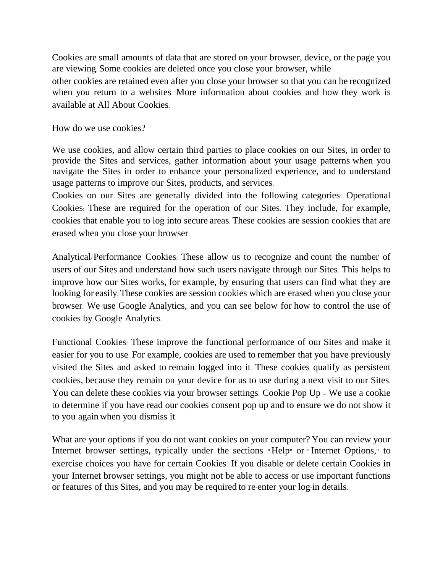Cookies are small amounts of data that are stored on your browser, device, or the page you are viewing. Some cookies are deleted once you close your browser, while

other cookies are retained even after you close your browser so that you can be recognized when you return to a websites. More information about cookies and how they work is available at All About Cookies.

How do we use cookies?

We use cookies, and allow certain third parties to place cookies on our Sites, in order to provide the Sites and services, gather information about your usage patterns when you navigate the Sites in order to enhance your personalized experience, and to understand usage patterns to improve our Sites, products, and services.

Cookies on our Sites are generally divided into the following categories: Operational Cookies: These are required for the operation of our Sites. They include, for example, cookies that enable you to log into secure areas. These cookies are session cookies that are erased when you close your browser.

Analytical/Performance Cookies: These allow us to recognize and count the number of users of our Sites and understand how such users navigate through our Sites. This helps to improve how our Sites works, for example, by ensuring that users can find what they are looking for easily. These cookies are session cookies which are erased when you close your browser. We use Google Analytics, and you can see below for how to control the use of cookies by Google Analytics.

Functional Cookies: These improve the functional performance of our Sites and make it easier for you to use. For example, cookies are used to remember that you have previously visited the Sites and asked to remain logged into it. These cookies qualify as persistent cookies, because they remain on your device for us to use during a next visit to our Sites. You can delete these cookies via your browser settings. Cookie Pop Up – We use a cookie to determine if you have read our cookies consent pop up and to ensure we do not show it to you again when you dismiss it.

What are your options if you do not want cookies on your computer? You can review your Internet browser settings, typically under the sections " Help" or "Internet Options," to exercise choices you have for certain Cookies. If you disable or delete certain Cookies in your Internet browser settings, you might not be able to access or use important functions or features of this Sites, and you may be required to re-enter your log-in details.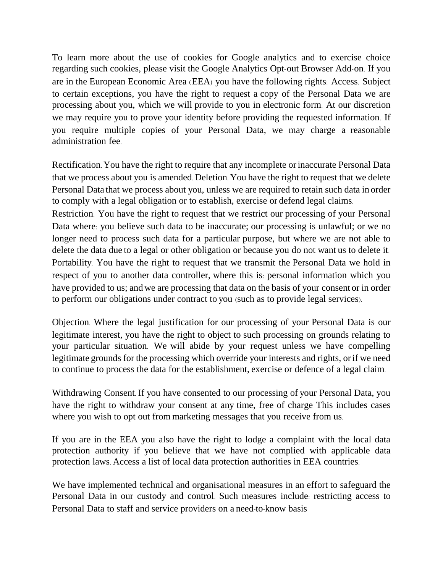To learn more about the use of cookies for Google analytics and to exercise choice regarding such cookies, please visit the Google Analytics Opt-out Browser Add-on. If you are in the European Economic Area (EEA) you have the following rights: Access. Subject to certain exceptions, you have the right to request a copy of the Personal Data we are processing about you, which we will provide to you in electronic form. At our discretion we may require you to prove your identity before providing the requested information. If you require multiple copies of your Personal Data, we may charge a reasonable administration fee.

Rectification. You have the right to require that any incomplete or inaccurate Personal Data that we process about you is amended. Deletion. You have the right to request that we delete Personal Data that we process about you, unless we are required to retain such data in order to comply with a legal obligation or to establish, exercise or defend legal claims.

Restriction. You have the right to request that we restrict our processing of your Personal Data where: you believe such data to be inaccurate; our processing is unlawful; or we no longer need to process such data for a particular purpose, but where we are not able to delete the data due to a legal or other obligation or because you do not want us to delete it. Portability. You have the right to request that we transmit the Personal Data we hold in respect of you to another data controller, where this is: personal information which you have provided to us; and we are processing that data on the basis of your consent or in order to perform our obligations under contract to you (such as to provide legal services).

Objection. Where the legal justification for our processing of your Personal Data is our legitimate interest, you have the right to object to such processing on grounds relating to your particular situation. We will abide by your request unless we have compelling legitimate grounds for the processing which override your interests and rights, orif we need to continue to process the data for the establishment, exercise or defence of a legal claim.

Withdrawing Consent. If you have consented to our processing of your Personal Data, you have the right to withdraw your consent at any time, free of charge This includes cases where you wish to opt out from marketing messages that you receive from us.

If you are in the EEA you also have the right to lodge a complaint with the local data protection authority if you believe that we have not complied with applicable data protection laws. Access a list of local data protection authorities in EEA countries.

We have implemented technical and organisational measures in an effort to safeguard the Personal Data in our custody and control. Such measures include: restricting access to Personal Data to staff and service providers on a need-to-know basis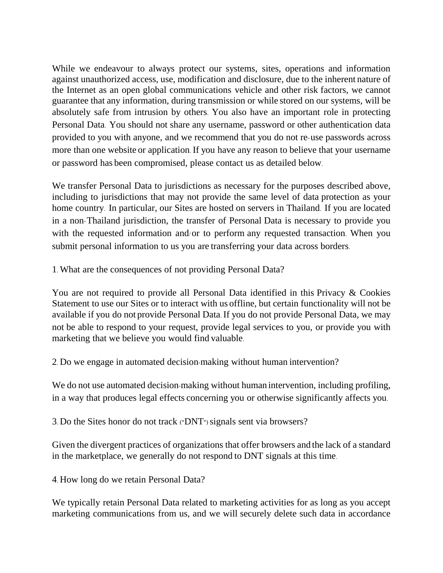While we endeavour to always protect our systems, sites, operations and information against unauthorized access, use, modification and disclosure, due to the inherent nature of the Internet as an open global communications vehicle and other risk factors, we cannot guarantee that any information, during transmission or while stored on our systems, will be absolutely safe from intrusion by others. You also have an important role in protecting Personal Data. You should not share any username, password or other authentication data provided to you with anyone, and we recommend that you do not re-use passwords across more than one website or application. If you have any reason to believe that your username or password has been compromised, please contact us as detailed below.

We transfer Personal Data to jurisdictions as necessary for the purposes described above, including to jurisdictions that may not provide the same level of data protection as your home country. In particular, our Sites are hosted on servers in Thailand. If you are located in a non-Thailand jurisdiction, the transfer of Personal Data is necessary to provide you with the requested information and/or to perform any requested transaction. When you submit personal information to us you are transferring your data across borders.

1. What are the consequences of not providing Personal Data?

You are not required to provide all Personal Data identified in this Privacy & Cookies Statement to use our Sites or to interact with us offline, but certain functionality will not be available if you do not provide Personal Data. If you do not provide Personal Data, we may not be able to respond to your request, provide legal services to you, or provide you with marketing that we believe you would find valuable.

2. Do we engage in automated decision-making without human intervention?

We do not use automated decision-making without human intervention, including profiling, in a way that produces legal effects concerning you or otherwise significantly affects you.

3. Do the Sites honor do not track ("DNT") signals sent via browsers?

Given the divergent practices of organizations that offer browsers and the lack of a standard in the marketplace, we generally do not respond to DNT signals at this time.

4. How long do we retain Personal Data?

We typically retain Personal Data related to marketing activities for as long as you accept marketing communications from us, and we will securely delete such data in accordance